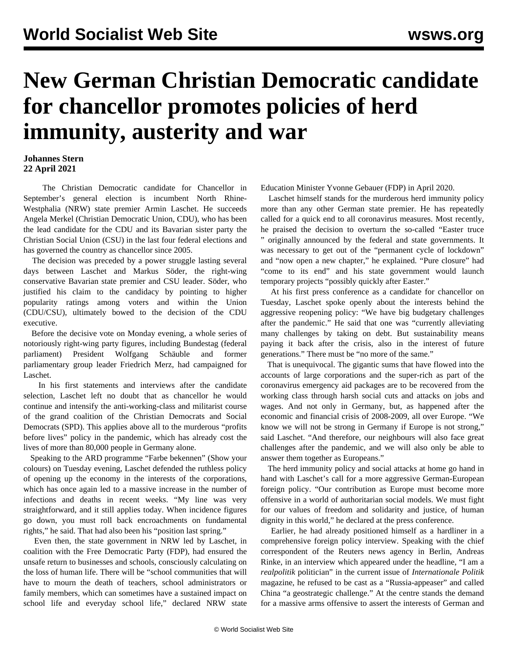## **New German Christian Democratic candidate for chancellor promotes policies of herd immunity, austerity and war**

## **Johannes Stern 22 April 2021**

 The Christian Democratic candidate for Chancellor in September's general election is incumbent North Rhine-Westphalia (NRW) state premier Armin Laschet. He succeeds Angela Merkel (Christian Democratic Union, CDU), who has been the lead candidate for the CDU and its Bavarian sister party the Christian Social Union (CSU) in the last four federal elections and has governed the country as chancellor since 2005.

 The decision was preceded by a power struggle lasting several days between Laschet and Markus Söder, the right-wing conservative Bavarian state premier and CSU leader. Söder, who justified his claim to the candidacy by pointing to higher popularity ratings among voters and within the Union (CDU/CSU), ultimately bowed to the decision of the CDU executive.

 Before the decisive vote on Monday evening, a whole series of notoriously right-wing party figures, including Bundestag (federal parliament) President Wolfgang Schäuble and former parliamentary group leader Friedrich Merz, had campaigned for Laschet.

 In his first statements and interviews after the candidate selection, Laschet left no doubt that as chancellor he would continue and intensify the anti-working-class and militarist course of the grand coalition of the Christian Democrats and Social Democrats (SPD). This applies above all to the murderous "profits before lives" policy in the pandemic, which has already cost the lives of more than 80,000 people in Germany alone.

 Speaking to the ARD programme "Farbe bekennen" (Show your colours) on Tuesday evening, Laschet defended the ruthless policy of opening up the economy in the interests of the corporations, which has once again led to a massive increase in the number of infections and deaths in recent weeks. "My line was very straightforward, and it still applies today. When incidence figures go down, you must roll back encroachments on fundamental rights," he said. That had also been his "position last spring."

 Even then, the state government in NRW led by Laschet, in coalition with the Free Democratic Party (FDP), had ensured the unsafe return to businesses and schools, consciously calculating on the loss of human life. There will be "school communities that will have to mourn the death of teachers, school administrators or family members, which can sometimes have a sustained impact on school life and everyday school life," declared NRW state Education Minister Yvonne Gebauer (FDP) in April 2020.

 Laschet himself stands for the murderous herd immunity policy more than any other German state premier. He has repeatedly called for a quick end to all coronavirus measures. Most recently, he praised the decision to overturn the so-called "[Easter truce](/en/articles/2021/03/26/merk-m26.html) " originally announced by the federal and state governments. It was necessary to get out of the "permanent cycle of lockdown" and "now open a new chapter," he explained. "Pure closure" had "come to its end" and his state government would launch temporary projects "possibly quickly after Easter."

 At his first press conference as a candidate for chancellor on Tuesday, Laschet spoke openly about the interests behind the aggressive reopening policy: "We have big budgetary challenges after the pandemic." He said that one was "currently alleviating many challenges by taking on debt. But sustainability means paying it back after the crisis, also in the interest of future generations." There must be "no more of the same."

 That is unequivocal. The gigantic sums that have flowed into the accounts of large corporations and the super-rich as part of the coronavirus emergency aid packages are to be recovered from the working class through harsh social cuts and attacks on jobs and wages. And not only in Germany, but, as happened after the economic and financial crisis of 2008-2009, all over Europe. "We know we will not be strong in Germany if Europe is not strong," said Laschet. "And therefore, our neighbours will also face great challenges after the pandemic, and we will also only be able to answer them together as Europeans."

 The herd immunity policy and social attacks at home go hand in hand with Laschet's call for a more aggressive German-European foreign policy. "Our contribution as Europe must become more offensive in a world of authoritarian social models. We must fight for our values of freedom and solidarity and justice, of human dignity in this world," he declared at the press conference.

 Earlier, he had already positioned himself as a hardliner in a comprehensive foreign policy interview. Speaking with the chief correspondent of the Reuters news agency in Berlin, Andreas Rinke, in an interview which appeared under the headline, "I am a *realpolitik* politician" in the current issue of *Internationale Politik* magazine, he refused to be cast as a "Russia-appeaser" and called China "a geostrategic challenge." At the centre stands the demand for a massive arms offensive to assert the interests of German and